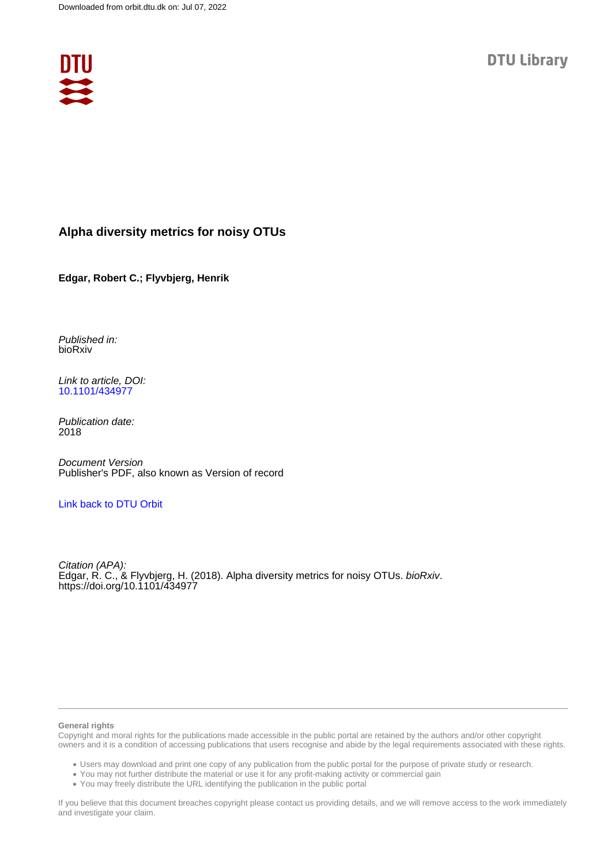

### **Alpha diversity metrics for noisy OTUs**

**Edgar, Robert C.; Flyvbjerg, Henrik**

Published in: bioRxiv

Link to article, DOI: [10.1101/434977](https://doi.org/10.1101/434977)

Publication date: 2018

Document Version Publisher's PDF, also known as Version of record

[Link back to DTU Orbit](https://orbit.dtu.dk/en/publications/011d3529-fc28-447c-9246-226eb2fe3080)

Citation<sub>(APA)</sub>: Edgar, R. C., & Flyvbjerg, H. (2018). Alpha diversity metrics for noisy OTUs. bioRxiv. <https://doi.org/10.1101/434977>

#### **General rights**

Copyright and moral rights for the publications made accessible in the public portal are retained by the authors and/or other copyright owners and it is a condition of accessing publications that users recognise and abide by the legal requirements associated with these rights.

Users may download and print one copy of any publication from the public portal for the purpose of private study or research.

- You may not further distribute the material or use it for any profit-making activity or commercial gain
- You may freely distribute the URL identifying the publication in the public portal

If you believe that this document breaches copyright please contact us providing details, and we will remove access to the work immediately and investigate your claim.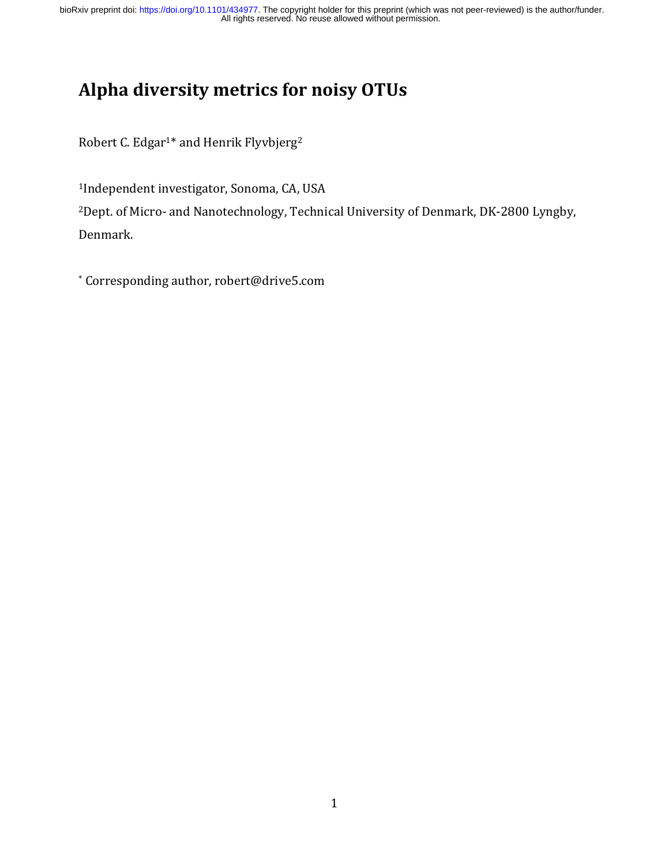# **Alpha diversity metrics for noisy OTUs**

Robert C. Edgar<sup>1\*</sup> and Henrik Flyvbjerg<sup>2</sup>

<sup>1</sup>Independent investigator, Sonoma, CA, USA

<sup>2</sup>Dept. of Micro- and Nanotechnology, Technical University of Denmark, DK-2800 Lyngby, Denmark.

\* Corresponding author, robert@drive5.com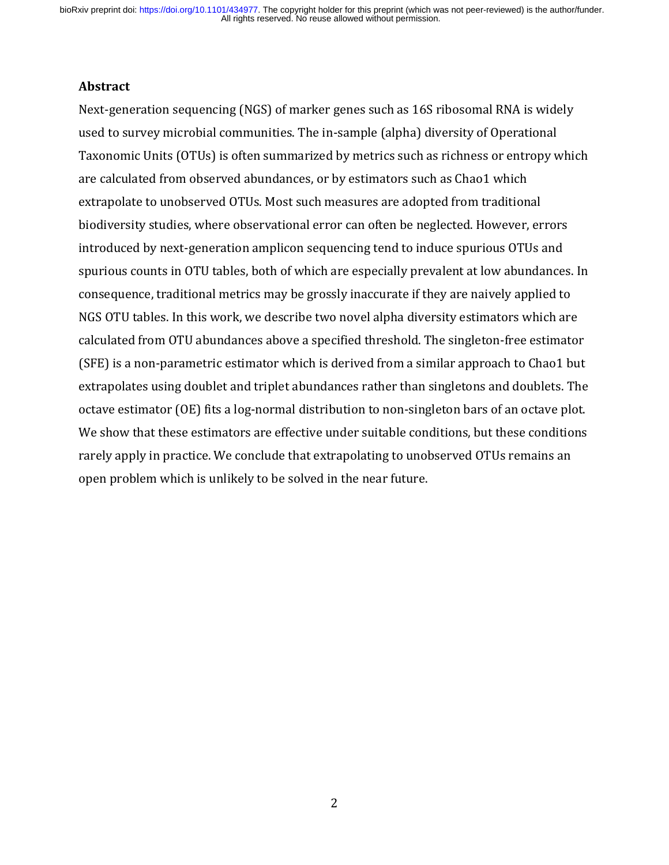#### **Abstract**

Next-generation sequencing (NGS) of marker genes such as 16S ribosomal RNA is widely used to survey microbial communities. The in-sample (alpha) diversity of Operational Taxonomic Units (OTUs) is often summarized by metrics such as richness or entropy which are calculated from observed abundances, or by estimators such as Chao1 which extrapolate to unobserved OTUs. Most such measures are adopted from traditional biodiversity studies, where observational error can often be neglected. However, errors introduced by next-generation amplicon sequencing tend to induce spurious OTUs and spurious counts in OTU tables, both of which are especially prevalent at low abundances. In consequence, traditional metrics may be grossly inaccurate if they are naively applied to NGS OTU tables. In this work, we describe two novel alpha diversity estimators which are calculated from OTU abundances above a specified threshold. The singleton-free estimator (SFE) is a non-parametric estimator which is derived from a similar approach to Chao1 but extrapolates using doublet and triplet abundances rather than singletons and doublets. The octave estimator (OE) fits a log-normal distribution to non-singleton bars of an octave plot. We show that these estimators are effective under suitable conditions, but these conditions rarely apply in practice. We conclude that extrapolating to unobserved OTUs remains an open problem which is unlikely to be solved in the near future.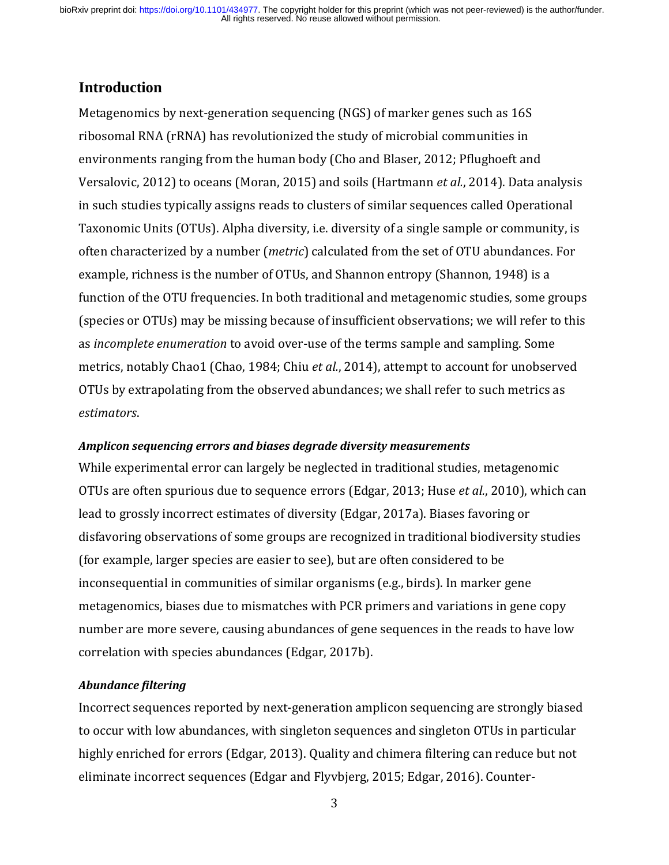### **Introduction**

Metagenomics by next-generation sequencing (NGS) of marker genes such as 16S ribosomal RNA (rRNA) has revolutionized the study of microbial communities in environments ranging from the human body (Cho and Blaser, 2012; Pflughoeft and Versalovic, 2012) to oceans (Moran, 2015) and soils (Hartmann *et al.*, 2014). Data analysis in such studies typically assigns reads to clusters of similar sequences called Operational Taxonomic Units (OTUs). Alpha diversity, i.e. diversity of a single sample or community, is often characterized by a number (*metric*) calculated from the set of OTU abundances. For example, richness is the number of OTUs, and Shannon entropy (Shannon, 1948) is a function of the OTU frequencies. In both traditional and metagenomic studies, some groups (species or OTUs) may be missing because of insufficient observations; we will refer to this as *incomplete enumeration* to avoid over-use of the terms sample and sampling. Some metrics, notably Chao1 (Chao, 1984; Chiu *et al.*, 2014), attempt to account for unobserved OTUs by extrapolating from the observed abundances; we shall refer to such metrics as *estimators*.

#### *Amplicon sequencing errors and biases degrade diversity measurements*

While experimental error can largely be neglected in traditional studies, metagenomic OTUs are often spurious due to sequence errors (Edgar, 2013; Huse *et al.*, 2010), which can lead to grossly incorrect estimates of diversity (Edgar, 2017a). Biases favoring or disfavoring observations of some groups are recognized in traditional biodiversity studies (for example, larger species are easier to see), but are often considered to be inconsequential in communities of similar organisms (e.g., birds). In marker gene metagenomics, biases due to mismatches with PCR primers and variations in gene copy number are more severe, causing abundances of gene sequences in the reads to have low correlation with species abundances (Edgar, 2017b).

#### *Abundance filtering*

Incorrect sequences reported by next-generation amplicon sequencing are strongly biased to occur with low abundances, with singleton sequences and singleton OTUs in particular highly enriched for errors (Edgar, 2013). Quality and chimera filtering can reduce but not eliminate incorrect sequences (Edgar and Flyvbjerg, 2015; Edgar, 2016). Counter-

3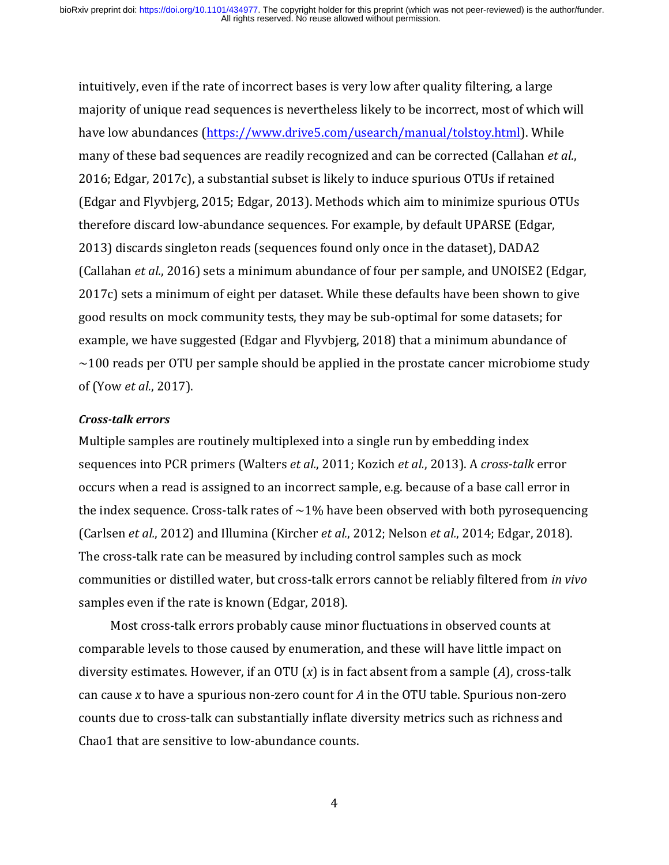intuitively, even if the rate of incorrect bases is very low after quality filtering, a large majority of unique read sequences is nevertheless likely to be incorrect, most of which will have low abundances [\(https://www.drive5.com/usearch/manual/tolstoy.html\)](https://www.drive5.com/usearch/manual/tolstoy.html). While many of these bad sequences are readily recognized and can be corrected (Callahan *et al.*, 2016; Edgar, 2017c), a substantial subset is likely to induce spurious OTUs if retained (Edgar and Flyvbjerg, 2015; Edgar, 2013). Methods which aim to minimize spurious OTUs therefore discard low-abundance sequences. For example, by default UPARSE (Edgar, 2013) discards singleton reads (sequences found only once in the dataset), DADA2 (Callahan *et al.*, 2016) sets a minimum abundance of four per sample, and UNOISE2 (Edgar, 2017c) sets a minimum of eight per dataset. While these defaults have been shown to give good results on mock community tests, they may be sub-optimal for some datasets; for example, we have suggested (Edgar and Flyvbjerg, 2018) that a minimum abundance of  $\sim$ 100 reads per OTU per sample should be applied in the prostate cancer microbiome study of (Yow *et al.*, 2017).

#### *Cross-talk errors*

Multiple samples are routinely multiplexed into a single run by embedding index sequences into PCR primers (Walters *et al.*, 2011; Kozich *et al.*, 2013). A *cross-talk* error occurs when a read is assigned to an incorrect sample, e.g. because of a base call error in the index sequence. Cross-talk rates of  $\sim$ 1% have been observed with both pyrosequencing (Carlsen *et al.*, 2012) and Illumina (Kircher *et al.*, 2012; Nelson *et al.*, 2014; Edgar, 2018). The cross-talk rate can be measured by including control samples such as mock communities or distilled water, but cross-talk errors cannot be reliably filtered from *in vivo* samples even if the rate is known (Edgar, 2018).

 Most cross-talk errors probably cause minor fluctuations in observed counts at comparable levels to those caused by enumeration, and these will have little impact on diversity estimates. However, if an OTU (*x*) is in fact absent from a sample (*A*), cross-talk can cause *x* to have a spurious non-zero count for *A* in the OTU table. Spurious non-zero counts due to cross-talk can substantially inflate diversity metrics such as richness and Chao1 that are sensitive to low-abundance counts.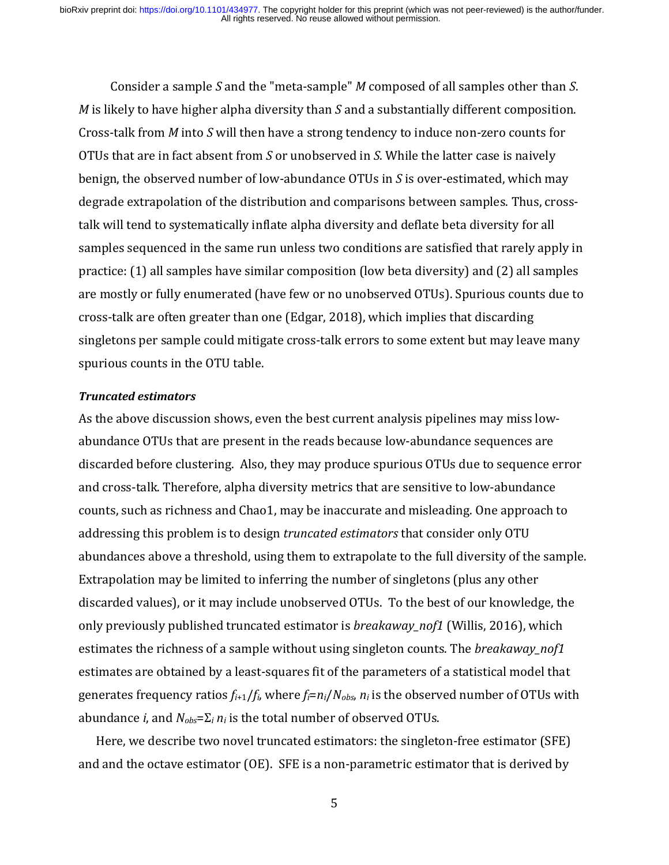Consider a sample *S* and the "meta-sample" *M* composed of all samples other than *S*. *M* is likely to have higher alpha diversity than *S* and a substantially different composition. Cross-talk from *M* into *S* will then have a strong tendency to induce non-zero counts for OTUs that are in fact absent from *S* or unobserved in *S*. While the latter case is naively benign, the observed number of low-abundance OTUs in *S* is over-estimated, which may degrade extrapolation of the distribution and comparisons between samples. Thus, crosstalk will tend to systematically inflate alpha diversity and deflate beta diversity for all samples sequenced in the same run unless two conditions are satisfied that rarely apply in practice: (1) all samples have similar composition (low beta diversity) and (2) all samples are mostly or fully enumerated (have few or no unobserved OTUs). Spurious counts due to cross-talk are often greater than one (Edgar, 2018), which implies that discarding singletons per sample could mitigate cross-talk errors to some extent but may leave many spurious counts in the OTU table.

#### *Truncated estimators*

As the above discussion shows, even the best current analysis pipelines may miss lowabundance OTUs that are present in the reads because low-abundance sequences are discarded before clustering. Also, they may produce spurious OTUs due to sequence error and cross-talk. Therefore, alpha diversity metrics that are sensitive to low-abundance counts, such as richness and Chao1, may be inaccurate and misleading. One approach to addressing this problem is to design *truncated estimators* that consider only OTU abundances above a threshold, using them to extrapolate to the full diversity of the sample. Extrapolation may be limited to inferring the number of singletons (plus any other discarded values), or it may include unobserved OTUs. To the best of our knowledge, the only previously published truncated estimator is *breakaway\_nof1* (Willis, 2016), which estimates the richness of a sample without using singleton counts. The *breakaway\_nof1* estimates are obtained by a least-squares fit of the parameters of a statistical model that generates frequency ratios  $f_{i+1}/f_i$ , where  $f_i = n_i/N_{obs}$ ,  $n_i$  is the observed number of OTUs with abundance *i*, and *Nobs*=Σ*<sup>i</sup> n<sup>i</sup>* is the total number of observed OTUs.

 Here, we describe two novel truncated estimators: the singleton-free estimator (SFE) and and the octave estimator (OE). SFE is a non-parametric estimator that is derived by

5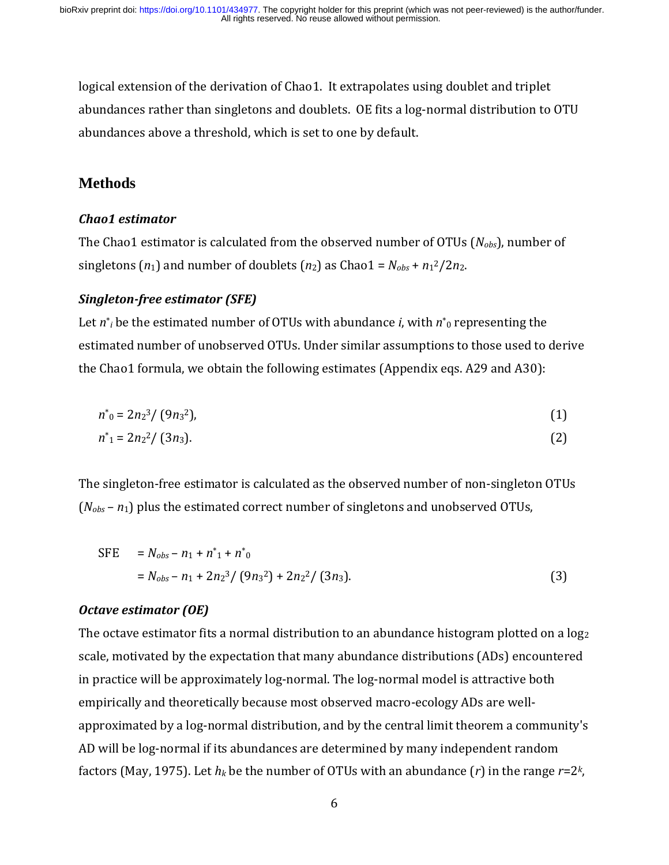logical extension of the derivation of Chao1. It extrapolates using doublet and triplet abundances rather than singletons and doublets. OE fits a log-normal distribution to OTU abundances above a threshold, which is set to one by default.

## **Methods**

## *Chao1 estimator*

The Chao1 estimator is calculated from the observed number of OTUs (*Nobs*), number of singletons  $(n_1)$  and number of doublets  $(n_2)$  as Chao1 =  $N_{obs} + n_1^2/2n_2$ .

## *Singleton-free estimator (SFE)*

Let *n*\* *<sup>i</sup>* be the estimated number of OTUs with abundance *i*, with *n*\* <sup>0</sup> representing the estimated number of unobserved OTUs. Under similar assumptions to those used to derive the Chao1 formula, we obtain the following estimates (Appendix eqs. A29 and A30):

$$
n^*_{0} = 2n_2^{3}/(9n_3^{2}), \tag{1}
$$

$$
n^*_{1} = 2n_{2}^{2}/(3n_{3}).
$$
 (2)

The singleton-free estimator is calculated as the observed number of non-singleton OTUs (*Nobs* – *n*1) plus the estimated correct number of singletons and unobserved OTUs,

SFE = 
$$
N_{obs} - n_1 + n_1^* + n_0^*
$$
  
=  $N_{obs} - n_1 + 2n_2^3 / (9n_3^2) + 2n_2^2 / (3n_3)$ . (3)

## *Octave estimator (OE)*

The octave estimator fits a normal distribution to an abundance histogram plotted on a  $log<sub>2</sub>$ scale, motivated by the expectation that many abundance distributions (ADs) encountered in practice will be approximately log-normal. The log-normal model is attractive both empirically and theoretically because most observed macro-ecology ADs are wellapproximated by a log-normal distribution, and by the central limit theorem a community's AD will be log-normal if its abundances are determined by many independent random factors (May, 1975). Let *h<sup>k</sup>* be the number of OTUs with an abundance (*r*) in the range *r*=2*<sup>k</sup>* ,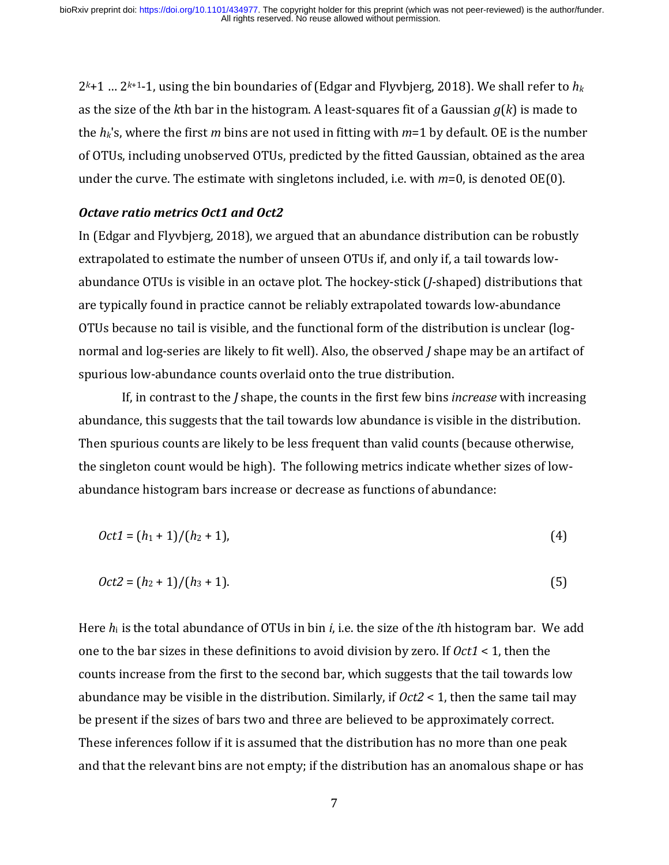$2^{k+1}$  ...  $2^{k+1}$ -1, using the bin boundaries of (Edgar and Flyvbjerg, 2018). We shall refer to  $h_k$ as the size of the *k*th bar in the histogram. A least-squares fit of a Gaussian *g*(*k*) is made to the *hk*'s, where the first *m* bins are not used in fitting with *m*=1 by default. OE is the number of OTUs, including unobserved OTUs, predicted by the fitted Gaussian, obtained as the area under the curve. The estimate with singletons included, i.e. with *m*=0, is denoted OE(0).

#### *Octave ratio metrics Oct1 and Oct2*

In (Edgar and Flyvbjerg, 2018), we argued that an abundance distribution can be robustly extrapolated to estimate the number of unseen OTUs if, and only if, a tail towards lowabundance OTUs is visible in an octave plot. The hockey-stick (*J*-shaped) distributions that are typically found in practice cannot be reliably extrapolated towards low-abundance OTUs because no tail is visible, and the functional form of the distribution is unclear (lognormal and log-series are likely to fit well). Also, the observed *J* shape may be an artifact of spurious low-abundance counts overlaid onto the true distribution.

 If, in contrast to the *J* shape, the counts in the first few bins *increase* with increasing abundance, this suggests that the tail towards low abundance is visible in the distribution. Then spurious counts are likely to be less frequent than valid counts (because otherwise, the singleton count would be high). The following metrics indicate whether sizes of lowabundance histogram bars increase or decrease as functions of abundance:

$$
Oct1 = (h_1 + 1)/(h_2 + 1),
$$
 (4)

$$
Oct2 = (h_2 + 1)/(h_3 + 1). \tag{5}
$$

Here *h*i is the total abundance of OTUs in bin *i*, i.e. the size of the *i*th histogram bar*.* We add one to the bar sizes in these definitions to avoid division by zero. If *Oct1* < 1, then the counts increase from the first to the second bar, which suggests that the tail towards low abundance may be visible in the distribution. Similarly, if *Oct2* < 1, then the same tail may be present if the sizes of bars two and three are believed to be approximately correct. These inferences follow if it is assumed that the distribution has no more than one peak and that the relevant bins are not empty; if the distribution has an anomalous shape or has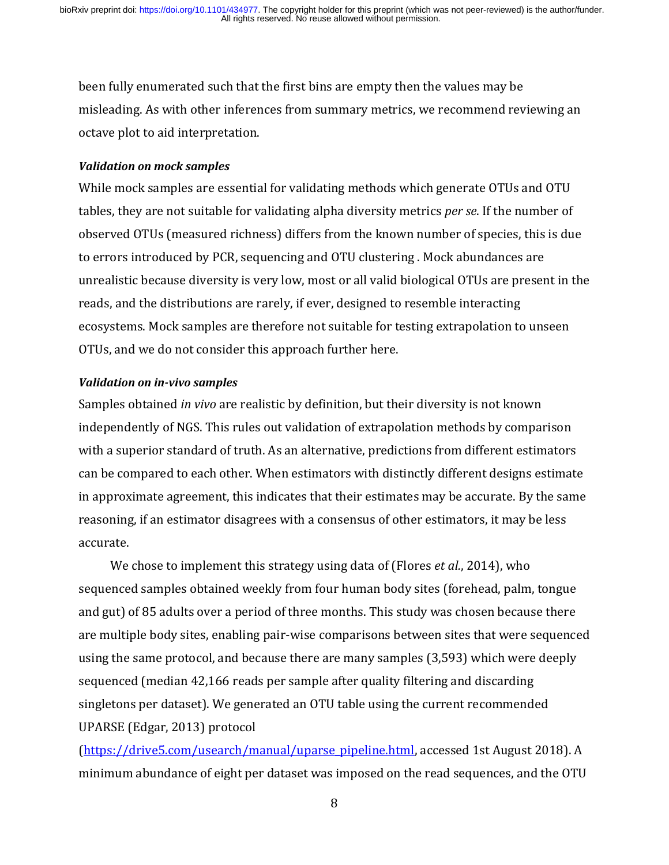been fully enumerated such that the first bins are empty then the values may be misleading. As with other inferences from summary metrics, we recommend reviewing an octave plot to aid interpretation.

#### *Validation on mock samples*

While mock samples are essential for validating methods which generate OTUs and OTU tables, they are not suitable for validating alpha diversity metrics *per se*. If the number of observed OTUs (measured richness) differs from the known number of species, this is due to errors introduced by PCR, sequencing and OTU clustering . Mock abundances are unrealistic because diversity is very low, most or all valid biological OTUs are present in the reads, and the distributions are rarely, if ever, designed to resemble interacting ecosystems. Mock samples are therefore not suitable for testing extrapolation to unseen OTUs, and we do not consider this approach further here.

#### *Validation on in-vivo samples*

Samples obtained *in vivo* are realistic by definition, but their diversity is not known independently of NGS. This rules out validation of extrapolation methods by comparison with a superior standard of truth. As an alternative, predictions from different estimators can be compared to each other. When estimators with distinctly different designs estimate in approximate agreement, this indicates that their estimates may be accurate. By the same reasoning, if an estimator disagrees with a consensus of other estimators, it may be less accurate.

 We chose to implement this strategy using data of (Flores *et al.*, 2014), who sequenced samples obtained weekly from four human body sites (forehead, palm, tongue and gut) of 85 adults over a period of three months. This study was chosen because there are multiple body sites, enabling pair-wise comparisons between sites that were sequenced using the same protocol, and because there are many samples (3,593) which were deeply sequenced (median 42,166 reads per sample after quality filtering and discarding singletons per dataset). We generated an OTU table using the current recommended UPARSE (Edgar, 2013) protocol

[\(https://drive5.com/usearch/manual/uparse\\_pipeline.html,](https://drive5.com/usearch/manual/uparse_pipeline.html) accessed 1st August 2018). A minimum abundance of eight per dataset was imposed on the read sequences, and the OTU

8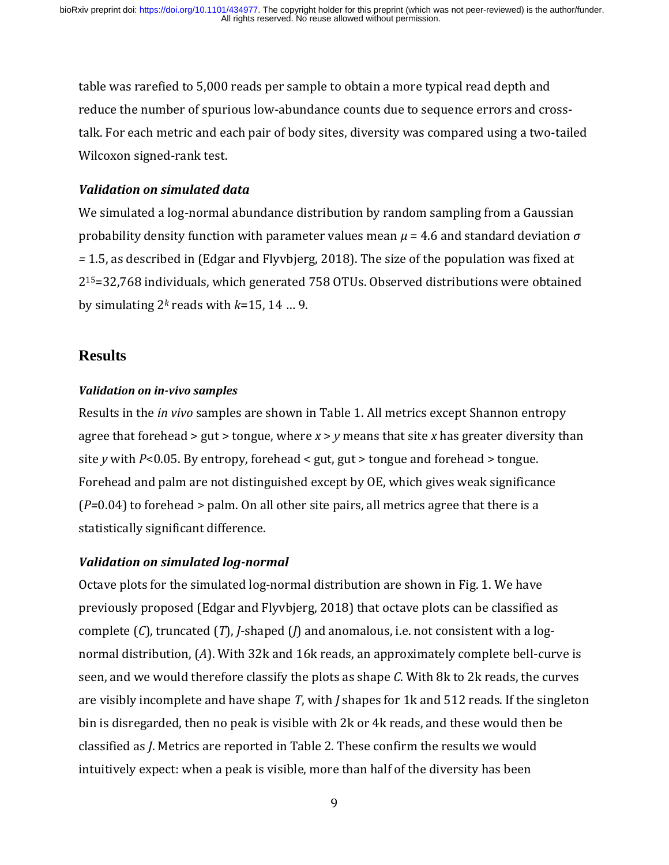table was rarefied to 5,000 reads per sample to obtain a more typical read depth and reduce the number of spurious low-abundance counts due to sequence errors and crosstalk. For each metric and each pair of body sites, diversity was compared using a two-tailed Wilcoxon signed-rank test.

## *Validation on simulated data*

We simulated a log-normal abundance distribution by random sampling from a Gaussian probability density function with parameter values mean *μ* = 4.6 and standard deviation *σ =* 1.5, as described in (Edgar and Flyvbjerg, 2018). The size of the population was fixed at 215=32,768 individuals, which generated 758 OTUs. Observed distributions were obtained by simulating 2*<sup>k</sup>* reads with *k*=15, 14 … 9.

## **Results**

## *Validation on in-vivo samples*

Results in the *in vivo* samples are shown in Table 1. All metrics except Shannon entropy agree that forehead > gut > tongue, where *x* > *y* means that site *x* has greater diversity than site *y* with *P*<0.05. By entropy, forehead < gut, gut > tongue and forehead > tongue. Forehead and palm are not distinguished except by OE, which gives weak significance (*P=*0.04) to forehead > palm. On all other site pairs, all metrics agree that there is a statistically significant difference.

## *Validation on simulated log-normal*

Octave plots for the simulated log-normal distribution are shown in Fig. 1. We have previously proposed (Edgar and Flyvbjerg, 2018) that octave plots can be classified as complete (*C*), truncated (*T*), *J*-shaped (*J*) and anomalous, i.e. not consistent with a lognormal distribution, (*A*). With 32k and 16k reads, an approximately complete bell-curve is seen, and we would therefore classify the plots as shape *C*. With 8k to 2k reads, the curves are visibly incomplete and have shape *T*, with *J* shapes for 1k and 512 reads. If the singleton bin is disregarded, then no peak is visible with 2k or 4k reads, and these would then be classified as *J*. Metrics are reported in Table 2. These confirm the results we would intuitively expect: when a peak is visible, more than half of the diversity has been

<sup>9</sup>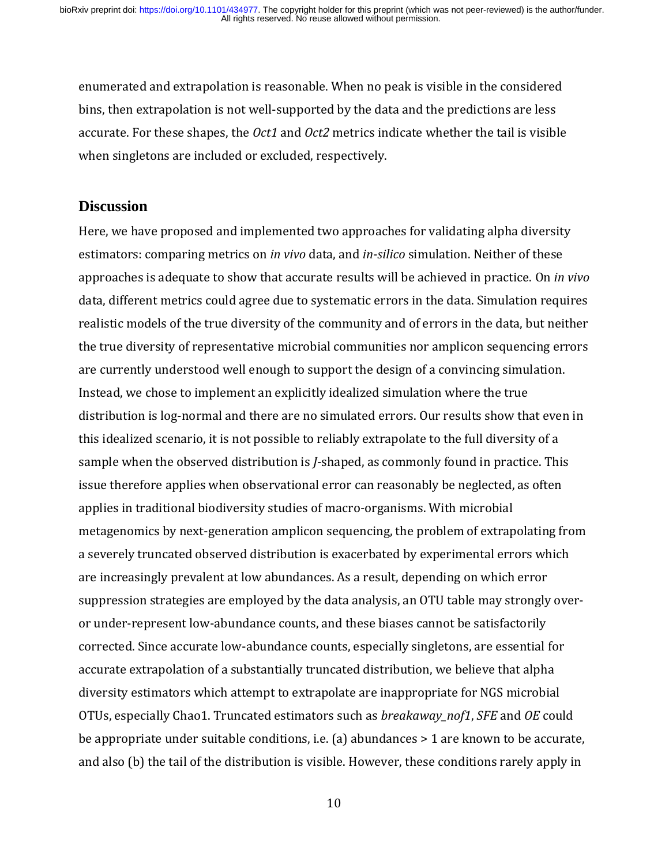enumerated and extrapolation is reasonable. When no peak is visible in the considered bins, then extrapolation is not well-supported by the data and the predictions are less accurate. For these shapes, the *Oct1* and *Oct2* metrics indicate whether the tail is visible when singletons are included or excluded, respectively.

## **Discussion**

Here, we have proposed and implemented two approaches for validating alpha diversity estimators: comparing metrics on *in vivo* data, and *in-silico* simulation. Neither of these approaches is adequate to show that accurate results will be achieved in practice. On *in vivo* data, different metrics could agree due to systematic errors in the data. Simulation requires realistic models of the true diversity of the community and of errors in the data, but neither the true diversity of representative microbial communities nor amplicon sequencing errors are currently understood well enough to support the design of a convincing simulation. Instead, we chose to implement an explicitly idealized simulation where the true distribution is log-normal and there are no simulated errors. Our results show that even in this idealized scenario, it is not possible to reliably extrapolate to the full diversity of a sample when the observed distribution is *J*-shaped, as commonly found in practice. This issue therefore applies when observational error can reasonably be neglected, as often applies in traditional biodiversity studies of macro-organisms. With microbial metagenomics by next-generation amplicon sequencing, the problem of extrapolating from a severely truncated observed distribution is exacerbated by experimental errors which are increasingly prevalent at low abundances. As a result, depending on which error suppression strategies are employed by the data analysis, an OTU table may strongly overor under-represent low-abundance counts, and these biases cannot be satisfactorily corrected. Since accurate low-abundance counts, especially singletons, are essential for accurate extrapolation of a substantially truncated distribution, we believe that alpha diversity estimators which attempt to extrapolate are inappropriate for NGS microbial OTUs, especially Chao1. Truncated estimators such as *breakaway\_nof1*, *SFE* and *OE* could be appropriate under suitable conditions, i.e. (a) abundances > 1 are known to be accurate, and also (b) the tail of the distribution is visible. However, these conditions rarely apply in

10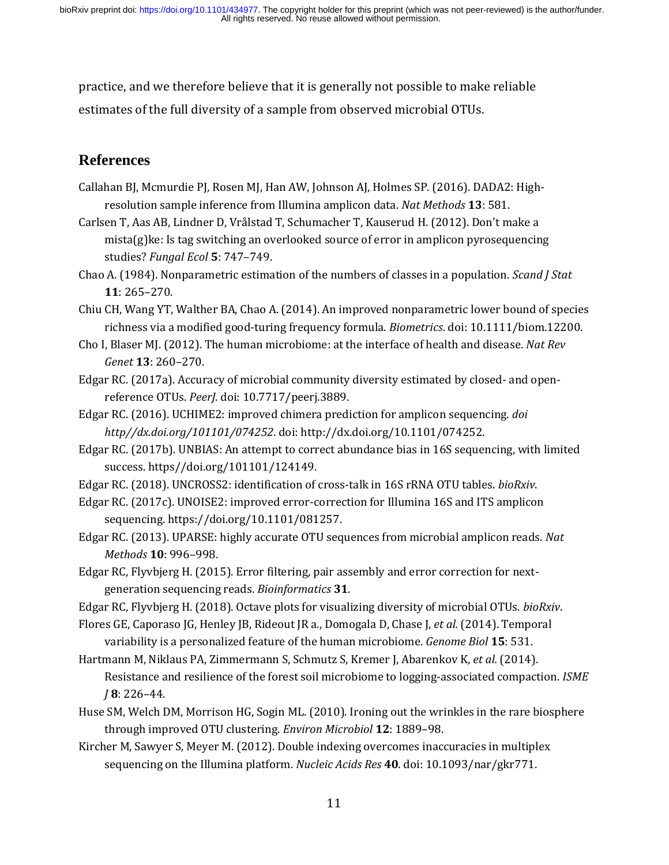practice, and we therefore believe that it is generally not possible to make reliable estimates of the full diversity of a sample from observed microbial OTUs.

## **References**

- Callahan BJ, Mcmurdie PJ, Rosen MJ, Han AW, Johnson AJ, Holmes SP. (2016). DADA2: Highresolution sample inference from Illumina amplicon data. *Nat Methods* **13**: 581.
- Carlsen T, Aas AB, Lindner D, Vrålstad T, Schumacher T, Kauserud H. (2012). Don't make a mista(g)ke: Is tag switching an overlooked source of error in amplicon pyrosequencing studies? *Fungal Ecol* **5**: 747–749.
- Chao A. (1984). Nonparametric estimation of the numbers of classes in a population. *Scand J Stat* **11**: 265–270.
- Chiu CH, Wang YT, Walther BA, Chao A. (2014). An improved nonparametric lower bound of species richness via a modified good-turing frequency formula. *Biometrics*. doi: 10.1111/biom.12200.
- Cho I, Blaser MJ. (2012). The human microbiome: at the interface of health and disease. *Nat Rev Genet* **13**: 260–270.
- Edgar RC. (2017a). Accuracy of microbial community diversity estimated by closed- and openreference OTUs. *PeerJ*. doi: 10.7717/peerj.3889.
- Edgar RC. (2016). UCHIME2: improved chimera prediction for amplicon sequencing. *doi http//dx.doi.org/101101/074252*. doi: http://dx.doi.org/10.1101/074252.
- Edgar RC. (2017b). UNBIAS: An attempt to correct abundance bias in 16S sequencing, with limited success. https//doi.org/101101/124149.
- Edgar RC. (2018). UNCROSS2: identification of cross-talk in 16S rRNA OTU tables. *bioRxiv*.
- Edgar RC. (2017c). UNOISE2: improved error-correction for Illumina 16S and ITS amplicon sequencing. https://doi.org/10.1101/081257.
- Edgar RC. (2013). UPARSE: highly accurate OTU sequences from microbial amplicon reads. *Nat Methods* **10**: 996–998.
- Edgar RC, Flyvbjerg H. (2015). Error filtering, pair assembly and error correction for nextgeneration sequencing reads. *Bioinformatics* **31**.
- Edgar RC, Flyvbjerg H. (2018). Octave plots for visualizing diversity of microbial OTUs. *bioRxiv*.
- Flores GE, Caporaso JG, Henley JB, Rideout JR a., Domogala D, Chase J, *et al.* (2014). Temporal variability is a personalized feature of the human microbiome. *Genome Biol* **15**: 531.
- Hartmann M, Niklaus PA, Zimmermann S, Schmutz S, Kremer J, Abarenkov K, *et al.* (2014). Resistance and resilience of the forest soil microbiome to logging-associated compaction. *ISME J* **8**: 226–44.
- Huse SM, Welch DM, Morrison HG, Sogin ML. (2010). Ironing out the wrinkles in the rare biosphere through improved OTU clustering. *Environ Microbiol* **12**: 1889–98.
- Kircher M, Sawyer S, Meyer M. (2012). Double indexing overcomes inaccuracies in multiplex sequencing on the Illumina platform. *Nucleic Acids Res* **40**. doi: 10.1093/nar/gkr771.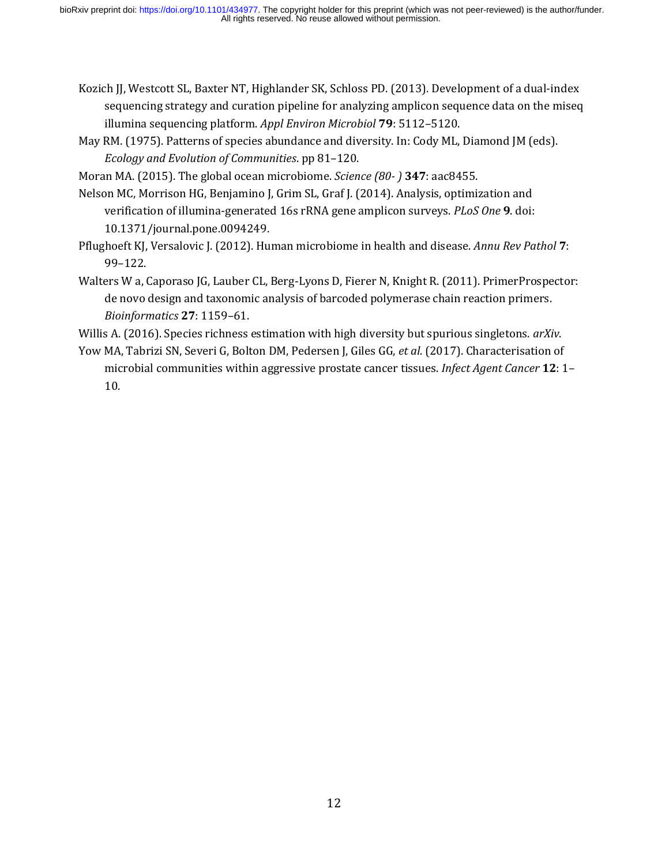- Kozich JJ, Westcott SL, Baxter NT, Highlander SK, Schloss PD. (2013). Development of a dual-index sequencing strategy and curation pipeline for analyzing amplicon sequence data on the miseq illumina sequencing platform. *Appl Environ Microbiol* **79**: 5112–5120.
- May RM. (1975). Patterns of species abundance and diversity. In: Cody ML, Diamond JM (eds). *Ecology and Evolution of Communities*. pp 81–120.
- Moran MA. (2015). The global ocean microbiome. *Science (80- )* **347**: aac8455.
- Nelson MC, Morrison HG, Benjamino J, Grim SL, Graf J. (2014). Analysis, optimization and verification of illumina-generated 16s rRNA gene amplicon surveys. *PLoS One* **9**. doi: 10.1371/journal.pone.0094249.
- Pflughoeft KJ, Versalovic J. (2012). Human microbiome in health and disease. *Annu Rev Pathol* **7**: 99–122.
- Walters W a, Caporaso JG, Lauber CL, Berg-Lyons D, Fierer N, Knight R. (2011). PrimerProspector: de novo design and taxonomic analysis of barcoded polymerase chain reaction primers. *Bioinformatics* **27**: 1159–61.
- Willis A. (2016). Species richness estimation with high diversity but spurious singletons. *arXiv*.
- Yow MA, Tabrizi SN, Severi G, Bolton DM, Pedersen J, Giles GG, *et al.* (2017). Characterisation of microbial communities within aggressive prostate cancer tissues. *Infect Agent Cancer* **12**: 1– 10.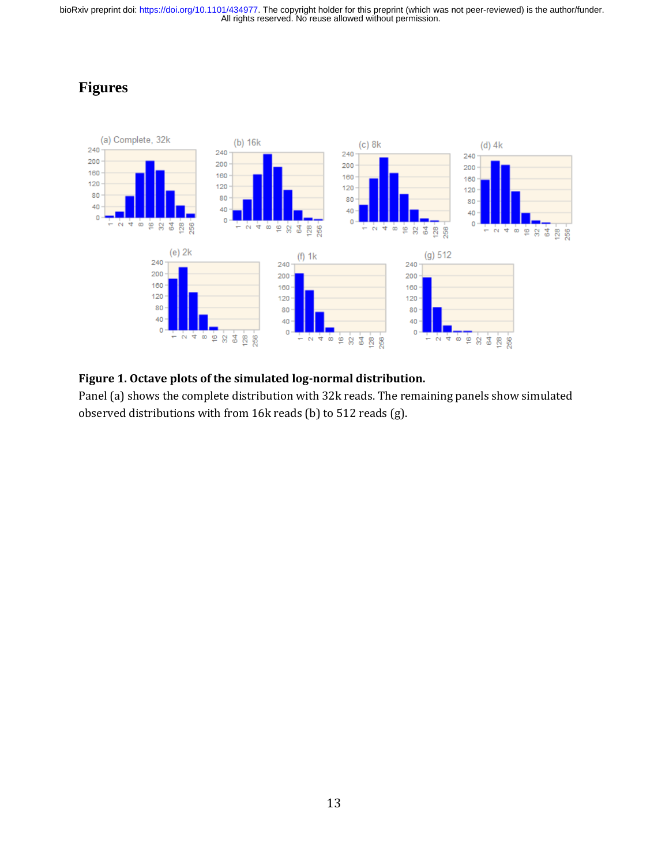## **Figures**



#### **Figure 1. Octave plots of the simulated log-normal distribution.**

Panel (a) shows the complete distribution with 32k reads. The remaining panels show simulated observed distributions with from 16k reads (b) to 512 reads (g).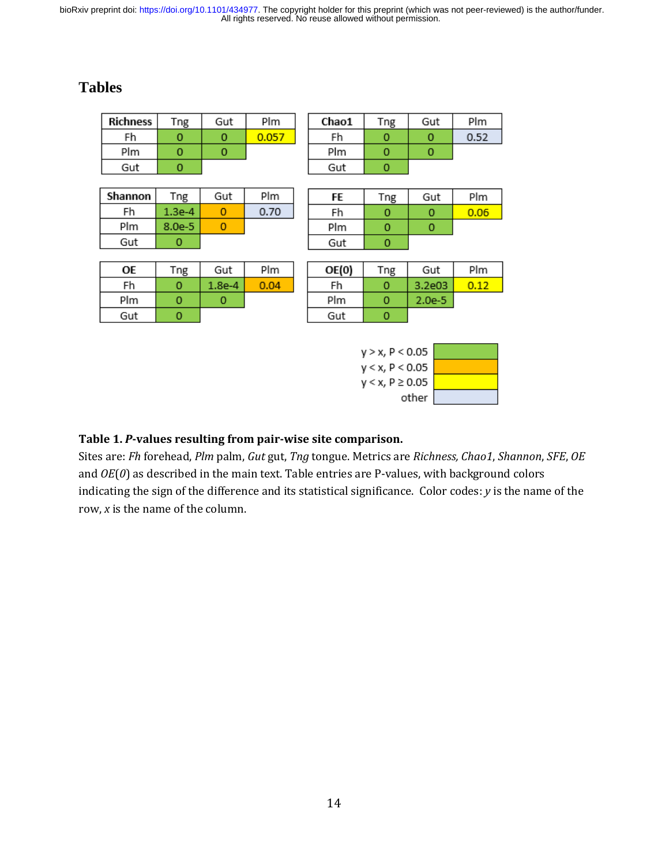## **Tables**

| <b>Richness</b>    | Tng                | Gut          | Plm   |  | Chao1 | Tng         | Gut      | Plm  |
|--------------------|--------------------|--------------|-------|--|-------|-------------|----------|------|
| Fh                 | 0                  | 0            | 0.057 |  | Fh    | 0           | 0        | 0.52 |
| Plm                | $\mathbf 0$        | $\Omega$     |       |  | Plm   | $\mathbf 0$ | 0        |      |
| Gut                | 0                  |              |       |  | Gut   | 0           |          |      |
|                    |                    |              |       |  |       |             |          |      |
| Shannon            | Tng                | Gut          | Plm   |  | FE    | Tng         | Gut      | Plm  |
| Fh                 | 1.3e-4             | $\mathbf{0}$ | 0.70  |  | Fh    | 0           | $\Omega$ | 0.06 |
| Plm                | $8.0e-5$           | $\circ$      |       |  | Plm   | $\circ$     | 0        |      |
| Gut                | 0                  |              |       |  | Gut   | 0           |          |      |
|                    |                    |              |       |  |       |             |          |      |
| ОE                 | Tng                | Gut          | Plm   |  | OE(0) | Tng         | Gut      | Plm  |
| Fh                 | $\circ$            | $1.8e-4$     | 0.04  |  | Fh    | 0           | 3.2e03   | 0.12 |
| Plm                | $\circ$            | o            |       |  | Plm   | $\circ$     | $2.0e-5$ |      |
| Gut                | 0                  |              |       |  | Gut   | 0           |          |      |
|                    |                    |              |       |  |       |             |          |      |
| $y > x$ , P < 0.05 |                    |              |       |  |       |             |          |      |
|                    | $y < x$ , P < 0.05 |              |       |  |       |             |          |      |

| Table 1. <i>P</i> -values resulting from pair-wise site comparison. |  |
|---------------------------------------------------------------------|--|

Sites are: *Fh* forehead, *Plm* palm, *Gut* gut, *Tng* tongue. Metrics are *Richness, Chao1*, *Shannon*, *SFE*, *OE* and *OE*(*0*) as described in the main text. Table entries are P-values, with background colors indicating the sign of the difference and its statistical significance. Color codes: *y* is the name of the row, *x* is the name of the column.

 $y < x, P \ge 0.05$ 

other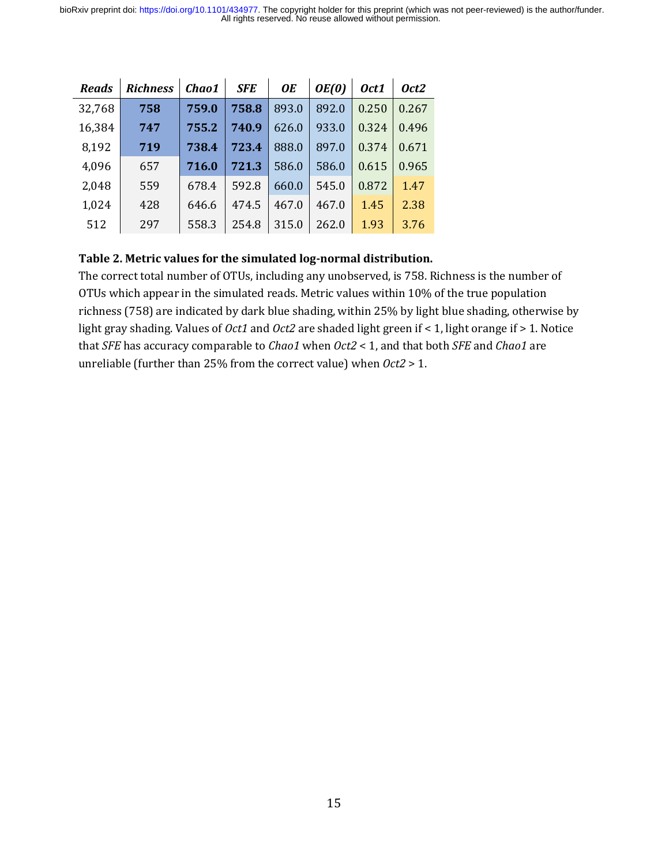| <b>Reads</b> | <b>Richness</b> | Chao1 | <b>SFE</b> | <b>OE</b> | OE(0) | Oct1  | Oct2  |
|--------------|-----------------|-------|------------|-----------|-------|-------|-------|
| 32,768       | 758             | 759.0 | 758.8      | 893.0     | 892.0 | 0.250 | 0.267 |
| 16,384       | 747             | 755.2 | 740.9      | 626.0     | 933.0 | 0.324 | 0.496 |
| 8,192        | 719             | 738.4 | 723.4      | 888.0     | 897.0 | 0.374 | 0.671 |
| 4,096        | 657             | 716.0 | 721.3      | 586.0     | 586.0 | 0.615 | 0.965 |
| 2,048        | 559             | 678.4 | 592.8      | 660.0     | 545.0 | 0.872 | 1.47  |
| 1,024        | 428             | 646.6 | 474.5      | 467.0     | 467.0 | 1.45  | 2.38  |
| 512          | 297             | 558.3 | 254.8      | 315.0     | 262.0 | 1.93  | 3.76  |

#### **Table 2. Metric values for the simulated log-normal distribution.**

The correct total number of OTUs, including any unobserved, is 758. Richness is the number of OTUs which appear in the simulated reads. Metric values within 10% of the true population richness (758) are indicated by dark blue shading, within 25% by light blue shading, otherwise by light gray shading. Values of *Oct1* and *Oct2* are shaded light green if < 1, light orange if > 1. Notice that *SFE* has accuracy comparable to *Chao1* when *Oct2* < 1, and that both *SFE* and *Chao1* are unreliable (further than 25% from the correct value) when *Oct2* > 1.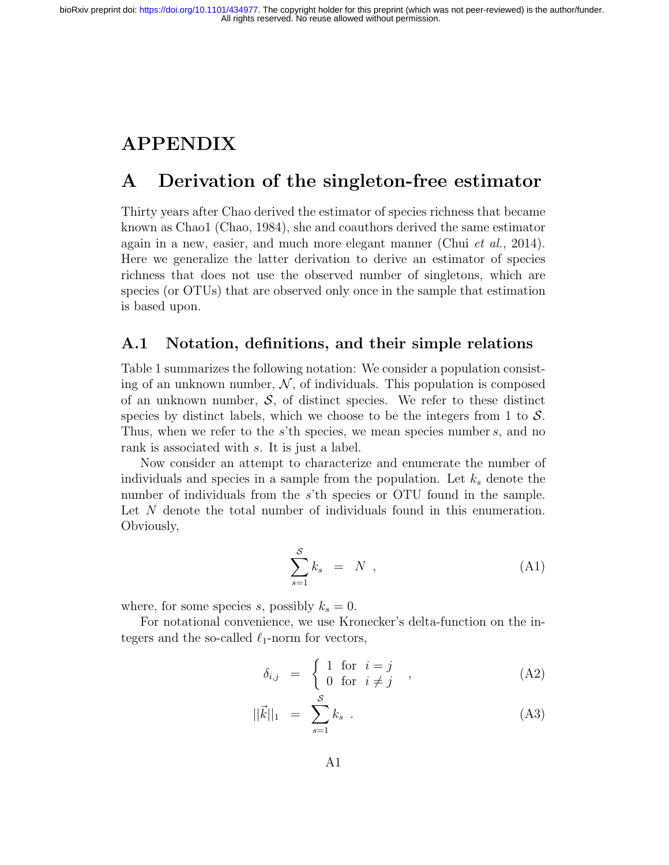# APPENDIX

# A Derivation of the singleton-free estimator

Thirty years after Chao derived the estimator of species richness that became known as Chao1 (Chao, 1984), she and coauthors derived the same estimator again in a new, easier, and much more elegant manner (Chui et al., 2014). Here we generalize the latter derivation to derive an estimator of species richness that does not use the observed number of singletons, which are species (or OTUs) that are observed only once in the sample that estimation is based upon.

#### A.1 Notation, definitions, and their simple relations

Table 1 summarizes the following notation: We consider a population consisting of an unknown number,  $\mathcal N$ , of individuals. This population is composed of an unknown number,  $S$ , of distinct species. We refer to these distinct species by distinct labels, which we choose to be the integers from 1 to  $\mathcal{S}$ . Thus, when we refer to the  $s$ 'th species, we mean species number  $s$ , and no rank is associated with s. It is just a label.

Now consider an attempt to characterize and enumerate the number of individuals and species in a sample from the population. Let  $k<sub>s</sub>$  denote the number of individuals from the s'th species or OTU found in the sample. Let N denote the total number of individuals found in this enumeration. Obviously,

$$
\sum_{s=1}^{S} k_s = N \tag{A1}
$$

where, for some species s, possibly  $k_s = 0$ .

For notational convenience, we use Kronecker's delta-function on the integers and the so-called  $\ell_1$ -norm for vectors,

$$
\delta_{i,j} = \begin{cases} 1 & \text{for } i = j \\ 0 & \text{for } i \neq j \end{cases} , \tag{A2}
$$

$$
||\vec{k}||_1 = \sum_{s=1}^{S} k_s . \tag{A3}
$$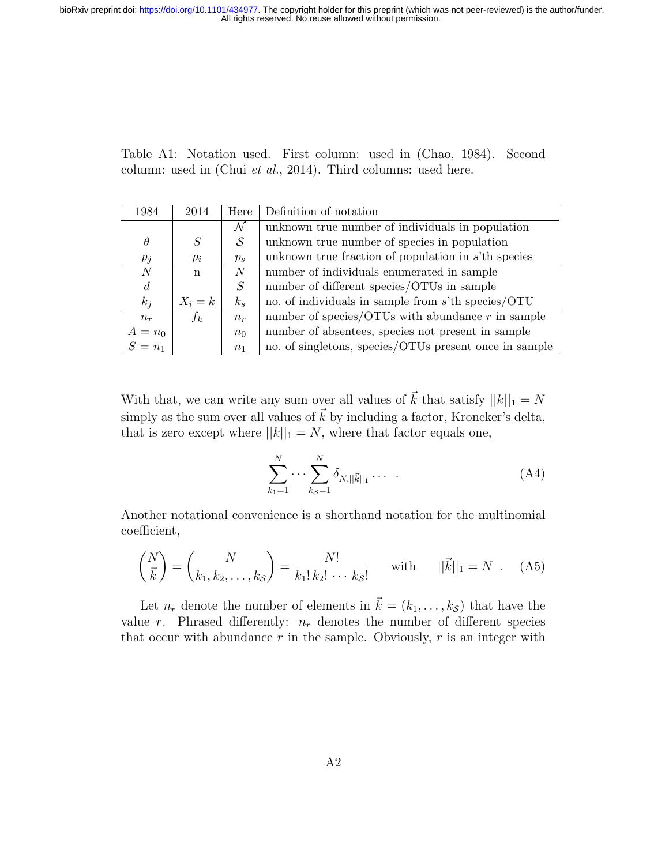Table A1: Notation used. First column: used in (Chao, 1984). Second column: used in (Chui et al., 2014). Third columns: used here.

| 1984           | 2014      | Here           | Definition of notation                                 |
|----------------|-----------|----------------|--------------------------------------------------------|
|                |           | N              | unknown true number of individuals in population       |
| $\theta$       | S         | S              | unknown true number of species in population           |
| $p_j$          | $p_i$     | $p_s$          | unknown true fraction of population in $s't$ h species |
| $\,N$          | n         | N              | number of individuals enumerated in sample             |
| $\overline{d}$ |           | S              | number of different species/OTUs in sample             |
| $k_i$          | $X_i = k$ | $k_{s}$        | no. of individuals in sample from $s$ 'th species/OTU  |
| $n_r$          | $f_k$     | $n_r$          | number of species/OTUs with abundance $r$ in sample    |
| $A = n_0$      |           | $n_0$          | number of absentees, species not present in sample     |
| $S=n_1$        |           | n <sub>1</sub> | no. of singletons, species/OTUs present once in sample |

With that, we can write any sum over all values of  $\vec{k}$  that satisfy  $||k||_1 = N$ simply as the sum over all values of  $\vec{k}$  by including a factor, Kroneker's delta, that is zero except where  $||k||_1 = N$ , where that factor equals one,

$$
\sum_{k_1=1}^{N} \cdots \sum_{k_{\mathcal{S}}=1}^{N} \delta_{N, ||\vec{k}||_1} \cdots \qquad (A4)
$$

Another notational convenience is a shorthand notation for the multinomial coefficient,

$$
\binom{N}{\vec{k}} = \binom{N}{k_1, k_2, \dots, k_S} = \frac{N!}{k_1! \, k_2! \, \dots \, k_S!} \quad \text{with} \quad ||\vec{k}||_1 = N \quad \text{(A5)}
$$

Let  $n_r$  denote the number of elements in  $\vec{k} = (k_1, \ldots, k_{\mathcal{S}})$  that have the value r. Phrased differently:  $n_r$  denotes the number of different species that occur with abundance r in the sample. Obviously, r is an integer with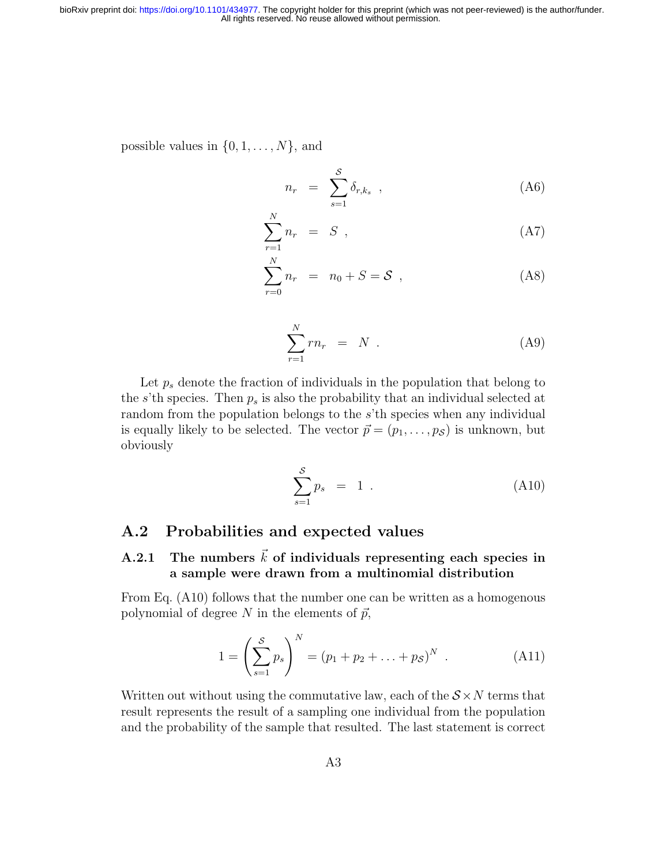possible values in  $\{0, 1, \ldots, N\}$ , and

$$
n_r = \sum_{s=1}^{S} \delta_{r,k_s} \t{A6}
$$

$$
\sum_{r=1}^{N} n_r = S , \qquad (A7)
$$

$$
\sum_{r=0}^{N} n_r = n_0 + S = S \tag{A8}
$$

$$
\sum_{r=1}^{N} r n_r = N \tag{A9}
$$

Let  $p_s$  denote the fraction of individuals in the population that belong to the s'th species. Then  $p_s$  is also the probability that an individual selected at random from the population belongs to the s'th species when any individual is equally likely to be selected. The vector  $\vec{p} = (p_1, \ldots, p_{\mathcal{S}})$  is unknown, but obviously

$$
\sum_{s=1}^{S} p_s = 1 \tag{A10}
$$

## A.2 Probabilities and expected values

N

## A.2.1 The numbers  $\vec{k}$  of individuals representing each species in a sample were drawn from a multinomial distribution

From Eq. (A10) follows that the number one can be written as a homogenous polynomial of degree N in the elements of  $\vec{p}$ ,

$$
1 = \left(\sum_{s=1}^{S} p_s\right)^N = (p_1 + p_2 + \dots + p_S)^N . \tag{A11}
$$

Written out without using the commutative law, each of the  $S \times N$  terms that result represents the result of a sampling one individual from the population and the probability of the sample that resulted. The last statement is correct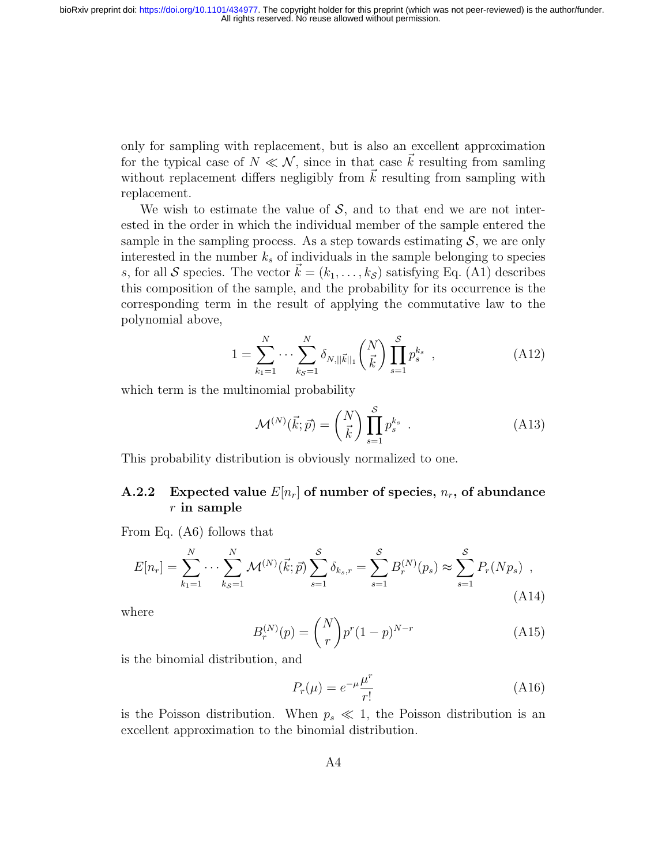only for sampling with replacement, but is also an excellent approximation for the typical case of  $N \ll N$ , since in that case k resulting from samling without replacement differs negligibly from  $\vec{k}$  resulting from sampling with replacement.

We wish to estimate the value of  $S$ , and to that end we are not interested in the order in which the individual member of the sample entered the sample in the sampling process. As a step towards estimating  $S$ , we are only interested in the number  $k<sub>s</sub>$  of individuals in the sample belonging to species s, for all S species. The vector  $k = (k_1, \ldots, k_{\mathcal{S}})$  satisfying Eq. (A1) describes this composition of the sample, and the probability for its occurrence is the corresponding term in the result of applying the commutative law to the polynomial above,

$$
1 = \sum_{k_1=1}^{N} \cdots \sum_{k_{\mathcal{S}}=1}^{N} \delta_{N, ||\vec{k}||_1} {N \choose \vec{k}} \prod_{s=1}^{S} p_s^{k_s} , \qquad (A12)
$$

which term is the multinomial probability

$$
\mathcal{M}^{(N)}(\vec{k};\vec{p}) = \binom{N}{\vec{k}} \prod_{s=1}^{S} p_s^{k_s} . \tag{A13}
$$

This probability distribution is obviously normalized to one.

#### A.2.2 Expected value  $E[n_r]$  of number of species,  $n_r$ , of abundance  $r$  in sample

From Eq. (A6) follows that

$$
E[n_r] = \sum_{k_1=1}^{N} \cdots \sum_{k_S=1}^{N} \mathcal{M}^{(N)}(\vec{k}; \vec{p}) \sum_{s=1}^{S} \delta_{k_s, r} = \sum_{s=1}^{S} B_r^{(N)}(p_s) \approx \sum_{s=1}^{S} P_r(Np_s) ,
$$
\n(A14)

where

$$
B_r^{(N)}(p) = \binom{N}{r} p^r (1-p)^{N-r}
$$
 (A15)

is the binomial distribution, and

$$
P_r(\mu) = e^{-\mu} \frac{\mu^r}{r!} \tag{A16}
$$

is the Poisson distribution. When  $p_s \ll 1$ , the Poisson distribution is an excellent approximation to the binomial distribution.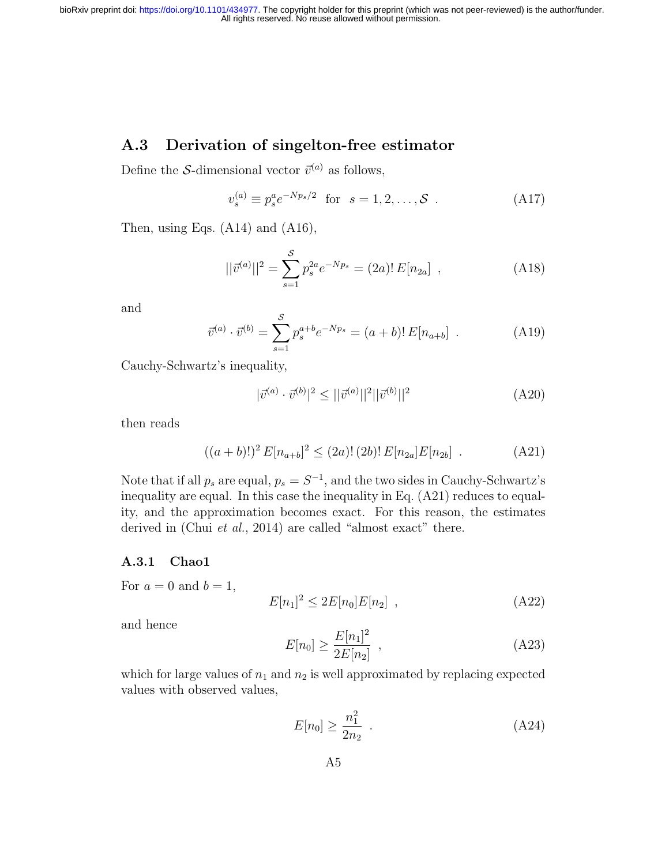## A.3 Derivation of singelton-free estimator

Define the S-dimensional vector  $\vec{v}^{(a)}$  as follows,

$$
v_s^{(a)} \equiv p_s^a e^{-Np_s/2} \text{ for } s = 1, 2, ..., S .
$$
 (A17)

Then, using Eqs. (A14) and (A16),

$$
||\vec{v}^{(a)}||^2 = \sum_{s=1}^{S} p_s^{2a} e^{-Np_s} = (2a)! E[n_{2a}] , \qquad (A18)
$$

and

$$
\vec{v}^{(a)} \cdot \vec{v}^{(b)} = \sum_{s=1}^{S} p_s^{a+b} e^{-Np_s} = (a+b)! E[n_{a+b}] \quad . \tag{A19}
$$

Cauchy-Schwartz's inequality,

$$
|\vec{v}^{(a)} \cdot \vec{v}^{(b)}|^2 \le ||\vec{v}^{(a)}||^2 ||\vec{v}^{(b)}||^2
$$
 (A20)

then reads

$$
((a+b)!)^2 E[n_{a+b}]^2 \le (2a)!(2b)! E[n_{2a}]E[n_{2b}]. \tag{A21}
$$

Note that if all  $p_s$  are equal,  $p_s = S^{-1}$ , and the two sides in Cauchy-Schwartz's inequality are equal. In this case the inequality in Eq. (A21) reduces to equality, and the approximation becomes exact. For this reason, the estimates derived in (Chui *et al.*, 2014) are called "almost exact" there.

#### A.3.1 Chao1

For  $a = 0$  and  $b = 1$ ,

$$
E[n_1]^2 \le 2E[n_0]E[n_2], \qquad (A22)
$$

and hence

$$
E[n_0] \ge \frac{E[n_1]^2}{2E[n_2]},
$$
\n(A23)

which for large values of  $n_1$  and  $n_2$  is well approximated by replacing expected values with observed values,

$$
E[n_0] \ge \frac{n_1^2}{2n_2} \tag{A24}
$$